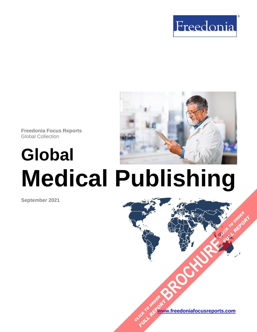



**Freedonia Focus Reports** Global Collection

# **Global Medical Publishing**

**September 2021**



**[BROCHURE](https://www.freedoniafocusreports.com/Global-Medical-Publishing-FW25022/?progid=89541) CLICK TO ORDER** 

**FULL REPORT**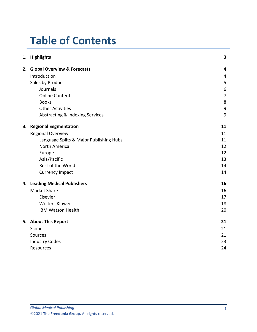# **Table of Contents**

| 1. Highlights                           | $\overline{\mathbf{3}}$ |
|-----------------------------------------|-------------------------|
| 2. Global Overview & Forecasts          | $\overline{\mathbf{4}}$ |
| Introduction                            | 4                       |
| Sales by Product                        | 5                       |
| Journals                                | 6                       |
| <b>Online Content</b>                   | $\overline{7}$          |
| <b>Books</b>                            | 8                       |
| <b>Other Activities</b>                 | 9                       |
| Abstracting & Indexing Services         | 9                       |
| 3. Regional Segmentation                | 11                      |
| <b>Regional Overview</b>                | 11                      |
| Language Splits & Major Publishing Hubs | 11                      |
| North America                           | 12                      |
| Europe                                  | 12                      |
| Asia/Pacific                            | 13                      |
|                                         | 14                      |
| <b>Currency Impact</b>                  | 14                      |
| 4. Leading Medical Publishers           | 16                      |
| <b>Market Share</b>                     | 16                      |
| Elsevier                                | 17                      |
| <b>Wolters Kluwer</b>                   | 18                      |
| <b>IBM Watson Health</b>                | 20                      |
| 5. About This Report                    | 21                      |
| Scope                                   | 21                      |
| Sources                                 | 21                      |
| <b>Industry Codes</b>                   | 23                      |
| Resources                               | 24                      |
|                                         | Rest of the World       |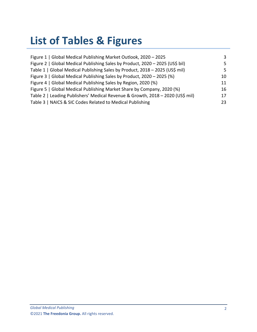# **List of Tables & Figures**

| Figure 1   Global Medical Publishing Market Outlook, 2020 - 2025               | 3   |
|--------------------------------------------------------------------------------|-----|
| Figure 2   Global Medical Publishing Sales by Product, 2020 - 2025 (US\$ bil)  | 5.  |
| Table 1   Global Medical Publishing Sales by Product, 2018 - 2025 (US\$ mil)   | 5.  |
| Figure 3   Global Medical Publishing Sales by Product, 2020 - 2025 (%)         | 10. |
| Figure 4   Global Medical Publishing Sales by Region, 2020 (%)                 | 11  |
| Figure 5   Global Medical Publishing Market Share by Company, 2020 (%)         | 16  |
| Table 2   Leading Publishers' Medical Revenue & Growth, 2018 - 2020 (US\$ mil) | 17  |
| Table 3   NAICS & SIC Codes Related to Medical Publishing                      | 23. |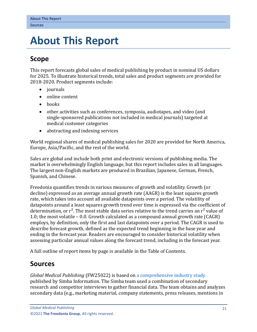# <span id="page-3-0"></span>**5. About This Report**

# <span id="page-3-1"></span>**Scope**

This report forecasts global sales of medical publishing by product in nominal US dollars for 2025. To illustrate historical trends, total sales and product segments are provided for 2018-2020. Product segments include:

- journals
- online content
- books
- other activities such as conferences, symposia, audiotapes, and video (and single-sponsored publications not included in medical journals) targeted at medical customer categories
- abstracting and indexing services

World regional shares of medical publishing sales for 2020 are provided for North America, Europe, Asia/Pacific, and the rest of the world.

Sales are global and include both print and electronic versions of publishing media. The market is overwhelmingly English language, but this report includes sales in all languages. The largest non-English markets are produced in Brazilian, Japanese, German, French, Spanish, and Chinese.

Freedonia quantifies trends in various measures of growth and volatility. Growth (or decline) expressed as an average annual growth rate (AAGR) is the least squares growth rate, which takes into account all available datapoints over a period. The volatility of datapoints around a least squares growth trend over time is expressed via the coefficient of determination, or  $r^2$ . The most stable data series relative to the trend carries an  $r^2$  value of 1.0; the most volatile – 0.0. Growth calculated as a compound annual growth rate (CAGR) employs, by definition, only the first and last datapoints over a period. The CAGR is used to describe forecast growth, defined as the expected trend beginning in the base year and ending in the forecast year. Readers are encouraged to consider historical volatility when assessing particular annual values along the forecast trend, including in the forecast year.

A full outline of report items by page is available in the Table of Contents.

# <span id="page-3-2"></span>**Sources**

*Global Medical Publishing* (FW25022) is based on [a comprehensive industry study](https://www.simbainformation.com/Global-Medical-Publishing-30087236/?progid=89534) published by Simba Information. The Simba team used a combination of secondary research and competitor interviews to gather financial data. The team obtains and analyzes secondary data (e.g., marketing material, company statements, press releases, mentions in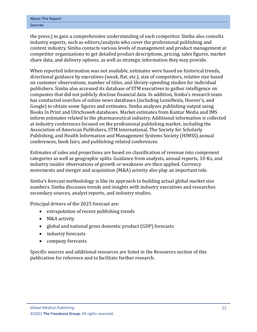the press.) to gain a comprehensive understanding of each competitor. Simba also consults industry experts, such as editors/analysts who cover the professional publishing and content industry. Simba contacts various levels of management and product management at competitor organizations to get detailed product descriptions, pricing, sales figures, market share data, and delivery options, as well as strategic information they may provide.

When reported information was not available, estimates were based on historical trends, directional guidance by executives (weak, flat, etc.), size of competitors, relative size based on customer observations, number of titles, and library-spending studies for individual publishers. Simba also accessed its database of STM executives to gather intelligence on companies that did not publicly disclose financial data. In addition, Simba's research team has conducted searches of online news databases (including LexisNexis, Hoover's, and Google) to obtain some figures and estimates. Simba analyzes publishing output using Books In Print and Ulrichsweb databases. Market estimates from Kantar Media and IMS inform estimates related to the pharmaceutical industry. Additional information is collected at industry conferences focused on the professional publishing market, including the Association of American Publishers, STM International, The Society for Scholarly Publishing, and Health Information and Management Systems Society (HIMSS) annual conferences, book fairs, and publishing-related conferences.

Estimates of sales and projections are based on classification of revenue into component categories as well as geographic splits. Guidance from analysts, annual reports, 10-Ks, and industry insider observations of growth or weakness are then applied. Currency movements and merger and acquisition (M&A) activity also play an important role.

Simba's forecast methodology is like its approach to building actual global market size numbers. Simba discusses trends and insights with industry executives and researches secondary sources, analyst reports, and industry studies.

Principal drivers of the 2025 forecast are:

- extrapolation of recent publishing trends
- M&A activity
- global and national gross domestic product (GDP) forecasts
- industry forecasts
- company forecasts

Specific sources and additional resources are listed in the Resources section of this publication for reference and to facilitate further research.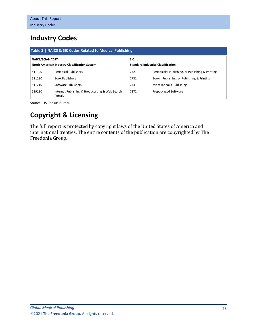# <span id="page-5-0"></span>**Industry Codes**

<span id="page-5-1"></span>

| Table 3   NAICS & SIC Codes Related to Medical Publishing |                                                            |                                           |                                                   |  |  |
|-----------------------------------------------------------|------------------------------------------------------------|-------------------------------------------|---------------------------------------------------|--|--|
| NAICS/SCIAN 2017                                          | <b>SIC</b>                                                 |                                           |                                                   |  |  |
|                                                           | North American Industry Classification System              | <b>Standard Industrial Classification</b> |                                                   |  |  |
| 511120                                                    | <b>Periodical Publishers</b>                               | 2721                                      | Periodicals: Publishing, or Publishing & Printing |  |  |
| 511130                                                    | <b>Book Publishers</b>                                     | 2731                                      | Books: Publishing, or Publishing & Printing       |  |  |
| 511210                                                    | Software Publishers                                        | 2741                                      | Miscellaneous Publishing                          |  |  |
| 519130                                                    | Internet Publishing & Broadcasting & Web Search<br>Portals | 7372                                      | Prepackaged Software                              |  |  |

Source: US Census Bureau

# **Copyright & Licensing**

The full report is protected by copyright laws of the United States of America and international treaties. The entire contents of the publication are copyrighted by The Freedonia Group.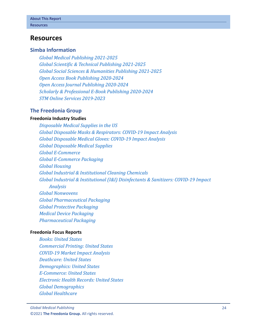## <span id="page-6-0"></span>**Resources**

### **Simba Information**

*[Global Medical Publishing 2021-2025](https://www.simbainformation.com/Global-Medical-Publishing-30087236/?progid=89534) [Global Scientific & Technical Publishing 2021-2025](https://www.simbainformation.com/Global-Scientific-Technical-Publishing-14784500/?progid=89534) Global Social Sciences [& Humanities Publishing 2021-2025](https://www.simbainformation.com/Global-Social-Sciences-Humanities-Publishing-14240578/?progid=89534) [Open Access Book Publishing 2020-2024](https://www.simbainformation.com/Open-Access-Book-Publishing-13834437/?progid=89534) [Open Access Journal Publishing 2020-2024](https://www.simbainformation.com/Open-Access-Journal-Publishing-13366208/?progid=89534) [Scholarly & Professional E-Book Publishing 2020-2024](https://www.simbainformation.com/Scholarly-Professional-Book-Publishing-13614714/?progid=89534) [STM Online Services 2019-2023](https://www.simbainformation.com/STM-Online-Services-12909764/?progid=89534)*

#### **The Freedonia Group**

#### **[Freedonia Industry Studies](http://www.freedoniagroup.com/Home.aspx?ReferrerId=FL-Focus)**

*[Disposable Medical Supplies in the US](http://www.freedoniagroup.com/DocumentDetails.aspx?ReferrerId=FL-FOCUS&studyid=3631) [Global Disposable Masks & Respirators: COVID-19 Impact Analysis](http://www.freedoniagroup.com/DocumentDetails.aspx?ReferrerId=FL-FOCUS&studyid=3862) [Global Disposable Medical Gloves: COVID-19 Impact Analysis](http://www.freedoniagroup.com/DocumentDetails.aspx?ReferrerId=FL-FOCUS&studyid=3861) [Global Disposable Medical Supplies](http://www.freedoniagroup.com/DocumentDetails.aspx?ReferrerId=FL-FOCUS&studyid=3694) [Global E-Commerce](http://www.freedoniagroup.com/DocumentDetails.aspx?ReferrerId=FL-FOCUS&studyid=3724) [Global E-Commerce Packaging](http://www.freedoniagroup.com/DocumentDetails.aspx?ReferrerId=FL-FOCUS&studyid=3744) [Global Housing](http://www.freedoniagroup.com/DocumentDetails.aspx?ReferrerId=FL-FOCUS&studyid=3877) [Global Industrial & Institutional Cleaning Chemicals](https://www.freedoniagroup.com/DocumentDetails.aspx?ReferrerId=FL-FOCUS&StudyId=3859) [Global Industrial & Institutional \(I&I\) Disinfectants & Sanitizers: COVID-19 Impact](http://www.freedoniagroup.com/DocumentDetails.aspx?ReferrerId=FL-FOCUS&studyid=3863)  [Analysis](http://www.freedoniagroup.com/DocumentDetails.aspx?ReferrerId=FL-FOCUS&studyid=3863) [Global Nonwovens](https://www.freedoniagroup.com/DocumentDetails.aspx?ReferrerId=FL-FOCUS&StudyId=3693) [Global Pharmaceutical Packaging](http://www.freedoniagroup.com/DocumentDetails.aspx?ReferrerId=FL-FOCUS&studyid=3758) [Global Protective Packaging](http://www.freedoniagroup.com/DocumentDetails.aspx?ReferrerId=FL-FOCUS&studyid=3741) [Medical Device Packaging](http://www.freedoniagroup.com/DocumentDetails.aspx?ReferrerId=FL-FOCUS&studyid=3782) [Pharmaceutical Packaging](http://www.freedoniagroup.com/DocumentDetails.aspx?ReferrerId=FL-FOCUS&studyid=3816)*

#### **[Freedonia Focus Reports](https://www.freedoniafocusreports.com/redirect.asp?progid=89534&url=/)**

*[Books: United States](https://www.freedoniafocusreports.com/Books-United-States-FF25010/?progid=89534) [Commercial Printing: United States](https://www.freedoniafocusreports.com/Commercial-Printing-United-States-FF25012/?progid=89534) [COVID-19 Market Impact Analysis](https://www.freedoniafocusreports.com/COVID-19-Market-Impact-Analysis-FW95079/?progid=89534) [Deathcare: United States](https://www.freedoniafocusreports.com/Deathcare-United-States-FF95065/?progid=89534) [Demographics: United States](https://www.freedoniafocusreports.com/Demographics-United-States-FF95050/?progid=89534) [E-Commerce: United States](https://www.freedoniafocusreports.com/E-Commerce-United-States-FF90043/?progid=89534) [Electronic Health Records: United States](https://www.freedoniafocusreports.com/pub/13209497.html/?progid=89534) [Global Demographics](https://www.freedoniafocusreports.com/Global-Demographics-FW95050/?progid=89534) [Global Healthcare](https://www.freedoniafocusreports.com/Global-Healthcare-FW40017/?progid=89534)*